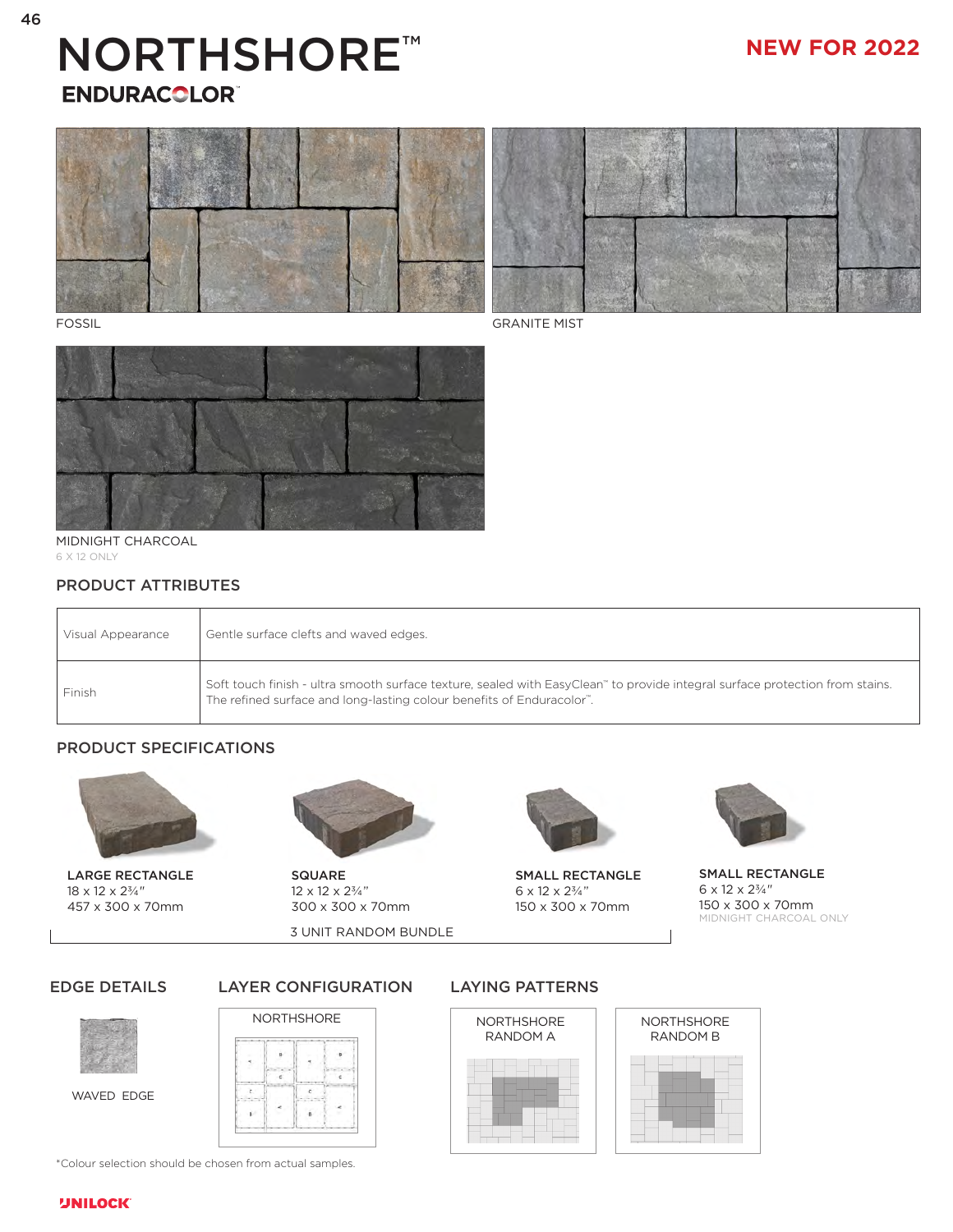# NORTHSHORE™ **ENDURACOLOR®**

## **NEW FOR 2022**







MIDNIGHT CHARCOAL 6 X 12 ONLY

## PRODUCT ATTRIBUTES

| Visual Appearance | Gentle surface clefts and waved edges.                                                                                                                                                                |
|-------------------|-------------------------------------------------------------------------------------------------------------------------------------------------------------------------------------------------------|
| Finish            | Soft touch finish - ultra smooth surface texture, sealed with EasyClean" to provide integral surface protection from stains.<br>The refined surface and long-lasting colour benefits of Enduracolor". |

## PRODUCT SPECIFICATIONS





18 x 12 x 2<sup>3</sup>/<sub>4</sub>" 12 x 12 x 2<sup>3</sup>/<sub>4</sub>" 6 x 12 x 2<sup>3</sup>/<sub>4</sub>" 457 x 300 x 70mm 300 x 300 x 70mm 150 x 300 x 70mm

3 UNIT RANDOM BUNDLE



LARGE RECTANGLE SQUARE SMALL RECTANGLE



SMALL RECTANGLE  $6 \times 12 \times 2\%/4''$ 150 x 300 x 70mm MIDNIGHT CHARCOAL ONLY

### EDGE DETAILS



WAVED EDGE



#### LAYER CONFIGURATION LAYING PATTERNS





\*Colour selection should be chosen from actual samples.

#### **UNILOCK**